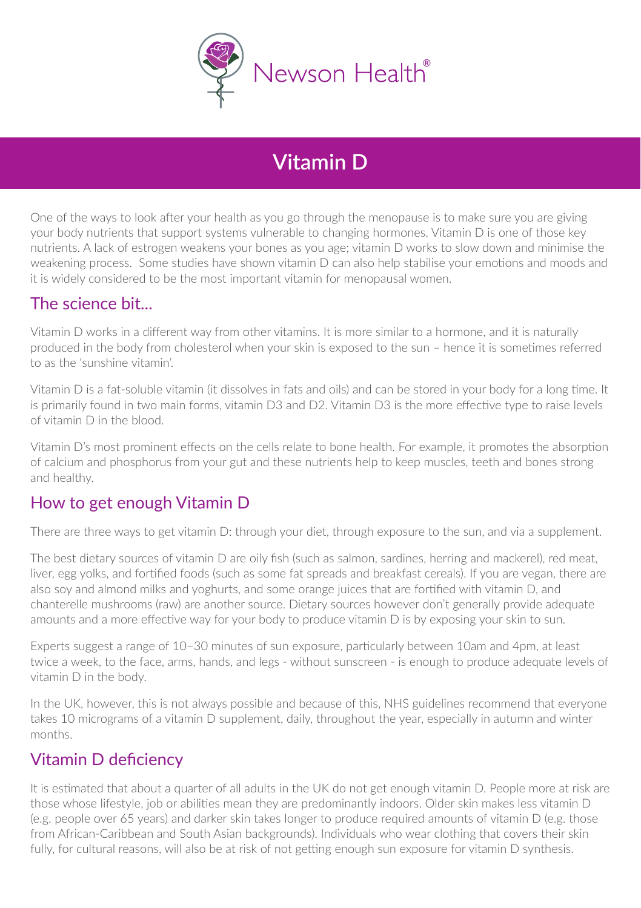

# **Vitamin D**

One of the ways to look after your health as you go through the menopause is to make sure you are giving your body nutrients that support systems vulnerable to changing hormones. Vitamin D is one of those key nutrients. A lack of estrogen weakens your bones as you age; vitamin D works to slow down and minimise the weakening process. Some studies have shown vitamin D can also help stabilise your emotions and moods and it is widely considered to be the most important vitamin for menopausal women.

### The science bit...

Vitamin D works in a different way from other vitamins. It is more similar to a hormone, and it is naturally produced in the body from cholesterol when your skin is exposed to the sun – hence it is sometimes referred to as the 'sunshine vitamin'.

Vitamin D is a fat-soluble vitamin (it dissolves in fats and oils) and can be stored in your body for a long time. It is primarily found in two main forms, vitamin D3 and D2. Vitamin D3 is the more effective type to raise levels of vitamin D in the blood.

Vitamin D's most prominent effects on the cells relate to bone health. For example, it promotes the absorption of calcium and phosphorus from your gut and these nutrients help to keep muscles, teeth and bones strong and healthy.

### How to get enough Vitamin D

There are three ways to get vitamin D: through your diet, through exposure to the sun, and via a supplement.

The best dietary sources of vitamin D are oily fish (such as salmon, sardines, herring and mackerel), red meat, liver, egg yolks, and fortified foods (such as some fat spreads and breakfast cereals). If you are vegan, there are also soy and almond milks and yoghurts, and some orange juices that are fortified with vitamin D, and chanterelle mushrooms (raw) are another source. Dietary sources however don't generally provide adequate amounts and a more effective way for your body to produce vitamin D is by exposing your skin to sun.

Experts suggest a range of 10–30 minutes of sun exposure, particularly between 10am and 4pm, at least twice a week, to the face, arms, hands, and legs - without sunscreen - is enough to produce adequate levels of vitamin D in the body.

In the UK, however, this is not always possible and because of this, NHS guidelines recommend that everyone takes 10 micrograms of a vitamin D supplement, daily, throughout the year, especially in autumn and winter months.

### Vitamin D deficiency

It is estimated that about a quarter of all adults in the UK do not get enough vitamin D. People more at risk are those whose lifestyle, job or abilities mean they are predominantly indoors. Older skin makes less vitamin D (e.g. people over 65 years) and darker skin takes longer to produce required amounts of vitamin D (e.g. those from African-Caribbean and South Asian backgrounds). Individuals who wear clothing that covers their skin fully, for cultural reasons, will also be at risk of not getting enough sun exposure for vitamin D synthesis.